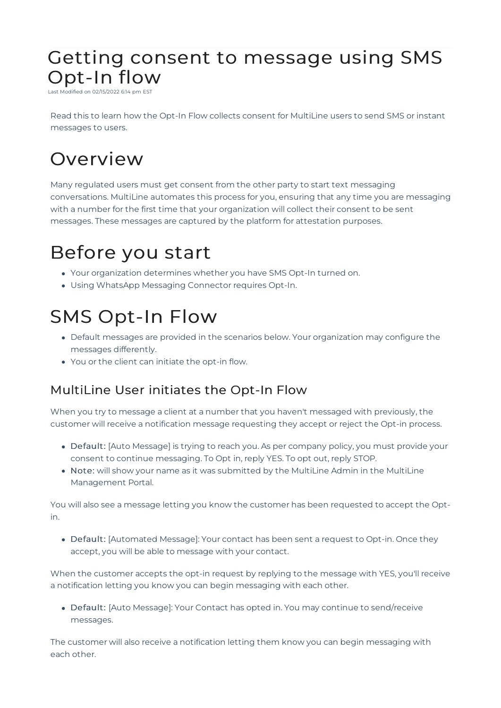### Getting consent to message using SMS Opt-In flow

-<br>Last Modified on 02/15/2022 6:14 pm ES

Read this to learn how the Opt-In Flow collects consent for MultiLine users to send SMS or instant messages to users.

# **Overview**

Many regulated users must get consent from the other party to start text messaging conversations. MultiLine automates this process for you, ensuring that any time you are messaging with a number for the first time that your organization will collect their consent to be sent messages. These messages are captured by the platform for attestation purposes.

## Before you start

- Your organization determines whether you have SMS Opt-In turned on.
- Using WhatsApp Messaging Connector requires Opt-In.

## SMS Opt-In Flow

- Default messages are provided in the scenarios below. Your organization may configure the messages differently.
- You or the client can initiate the opt-in flow.

### MultiLine User initiates the Opt-In Flow

When you try to message a client at a number that you haven't messaged with previously, the customer will receive a notification message requesting they accept or reject the Opt-in process.

- Default: [Auto Message] is trying to reach you. As per company policy, you must provide your consent to continue messaging. To Opt in, reply YES. To opt out, reply STOP.
- Note: will show your name as it was submitted by the MultiLine Admin in the MultiLine Management Portal.

You will also see a message letting you know the customer has been requested to accept the Optin.

Default: [Automated Message]: Your contact has been sent a request to Opt-in. Once they accept, you will be able to message with your contact.

When the customer accepts the opt-in request by replying to the message with YES, you'll receive a notification letting you know you can begin messaging with each other.

Default: [Auto Message]: Your Contact has opted in. You may continue to send/receive messages.

The customer will also receive a notification letting them know you can begin messaging with each other.